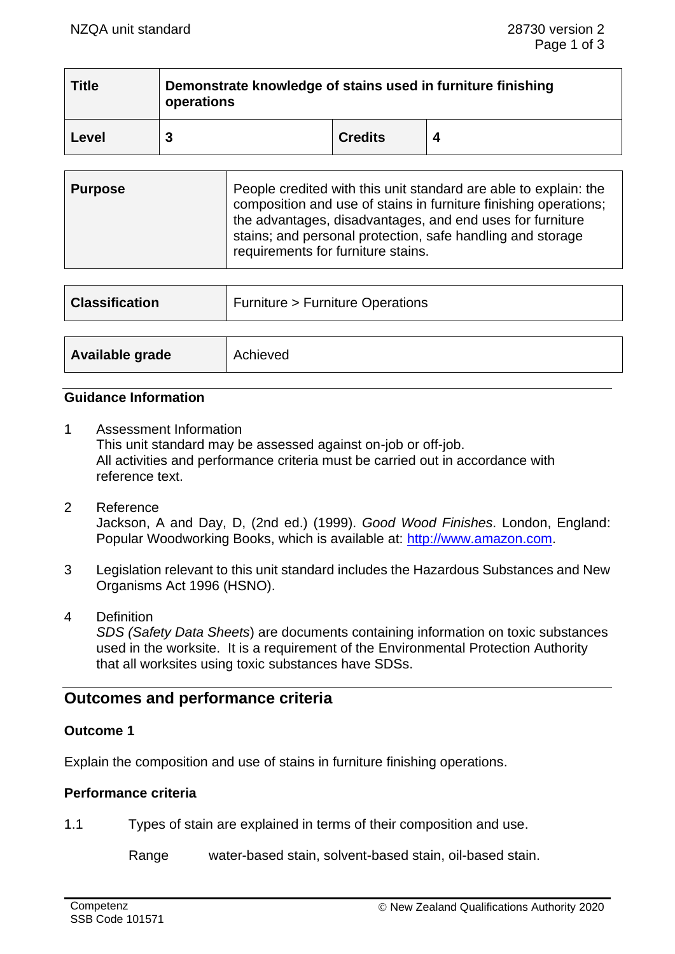| <b>Title</b> | Demonstrate knowledge of stains used in furniture finishing<br>operations |                |  |
|--------------|---------------------------------------------------------------------------|----------------|--|
| Level        |                                                                           | <b>Credits</b> |  |

| <b>Purpose</b> | People credited with this unit standard are able to explain: the<br>composition and use of stains in furniture finishing operations;<br>the advantages, disadvantages, and end uses for furniture<br>stains; and personal protection, safe handling and storage<br>requirements for furniture stains. |
|----------------|-------------------------------------------------------------------------------------------------------------------------------------------------------------------------------------------------------------------------------------------------------------------------------------------------------|
|                |                                                                                                                                                                                                                                                                                                       |

| <b>Classification</b> | <b>Furniture &gt; Furniture Operations</b> |  |
|-----------------------|--------------------------------------------|--|
|                       |                                            |  |
| Available grade       | Achieved                                   |  |

### **Guidance Information**

- 1 Assessment Information This unit standard may be assessed against on-job or off-job. All activities and performance criteria must be carried out in accordance with reference text.
- 2 Reference Jackson, A and Day, D, (2nd ed.) (1999). *Good Wood Finishes*. London, England: Popular Woodworking Books, which is available at: [http://www.amazon.com.](http://www.amazon.com/)
- 3 Legislation relevant to this unit standard includes the Hazardous Substances and New Organisms Act 1996 (HSNO).
- 4 Definition *SDS (Safety Data Sheets*) are documents containing information on toxic substances used in the worksite. It is a requirement of the Environmental Protection Authority that all worksites using toxic substances have SDSs.

# **Outcomes and performance criteria**

## **Outcome 1**

Explain the composition and use of stains in furniture finishing operations.

## **Performance criteria**

1.1 Types of stain are explained in terms of their composition and use.

Range water-based stain, solvent-based stain, oil-based stain.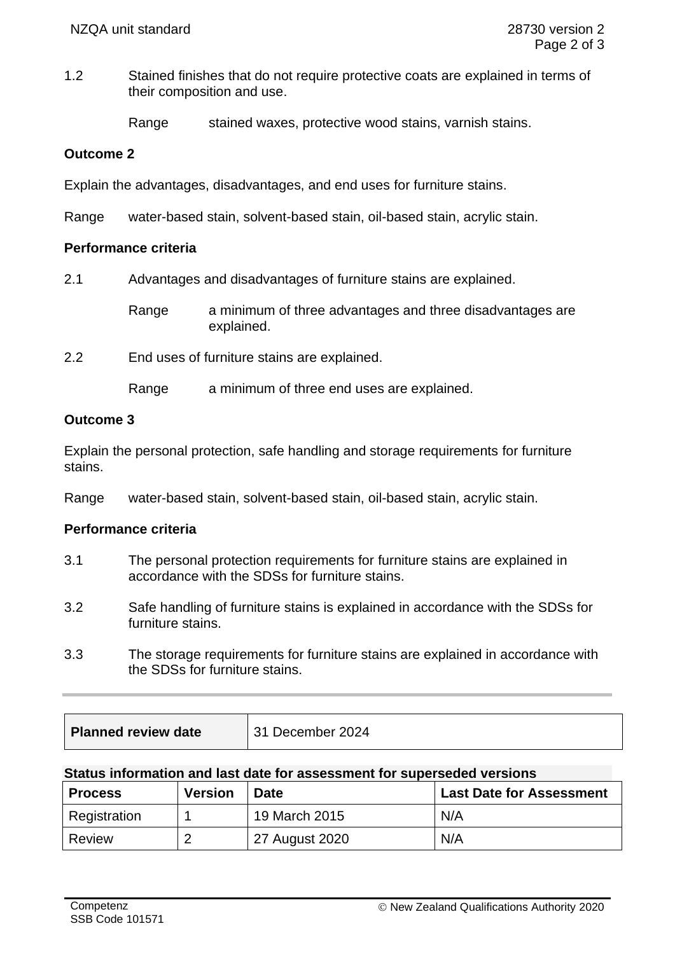1.2 Stained finishes that do not require protective coats are explained in terms of their composition and use.

Range stained waxes, protective wood stains, varnish stains.

### **Outcome 2**

Explain the advantages, disadvantages, and end uses for furniture stains.

Range water-based stain, solvent-based stain, oil-based stain, acrylic stain.

### **Performance criteria**

2.1 Advantages and disadvantages of furniture stains are explained.

Range a minimum of three advantages and three disadvantages are explained.

2.2 End uses of furniture stains are explained.

Range a minimum of three end uses are explained.

## **Outcome 3**

Explain the personal protection, safe handling and storage requirements for furniture stains.

Range water-based stain, solvent-based stain, oil-based stain, acrylic stain.

## **Performance criteria**

- 3.1 The personal protection requirements for furniture stains are explained in accordance with the SDSs for furniture stains.
- 3.2 Safe handling of furniture stains is explained in accordance with the SDSs for furniture stains.
- 3.3 The storage requirements for furniture stains are explained in accordance with the SDSs for furniture stains.

| Planned review date | 31 December 2024 |
|---------------------|------------------|
|                     |                  |

#### **Status information and last date for assessment for superseded versions**

| <b>Process</b> | <b>Version</b> | <b>Date</b>    | <b>Last Date for Assessment</b> |
|----------------|----------------|----------------|---------------------------------|
| Registration   |                | 19 March 2015  | N/A                             |
| Review         | റ              | 27 August 2020 | N/A                             |